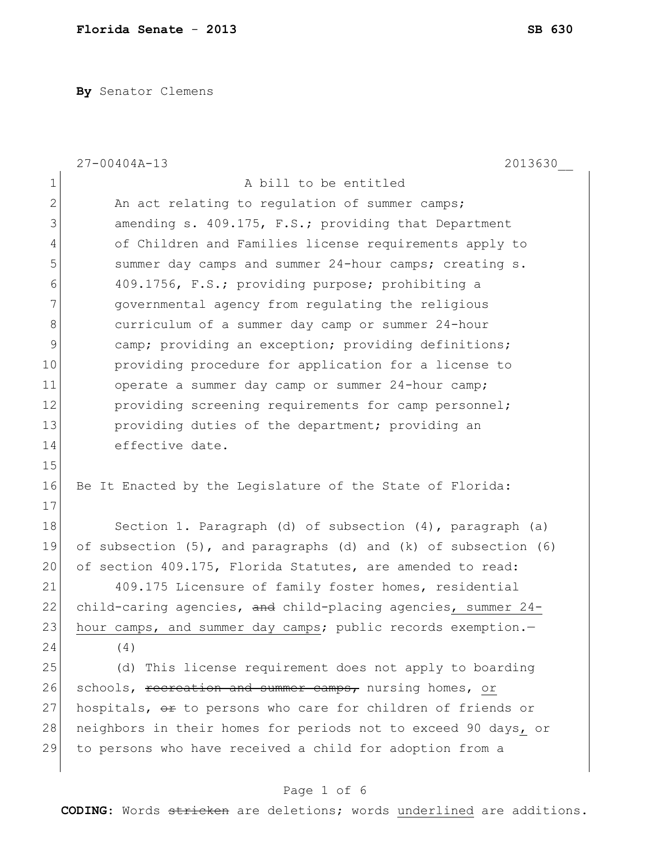**By** Senator Clemens

|                | $27 - 00404A - 13$<br>2013630                                            |
|----------------|--------------------------------------------------------------------------|
| $\mathbf 1$    | A bill to be entitled                                                    |
| $\overline{2}$ | An act relating to regulation of summer camps;                           |
| 3              | amending s. 409.175, F.S.; providing that Department                     |
| 4              | of Children and Families license requirements apply to                   |
| 5              | summer day camps and summer 24-hour camps; creating s.                   |
| 6              | 409.1756, F.S.; providing purpose; prohibiting a                         |
| 7              | governmental agency from regulating the religious                        |
| 8              | curriculum of a summer day camp or summer 24-hour                        |
| $\mathsf 9$    | camp; providing an exception; providing definitions;                     |
| 10             | providing procedure for application for a license to                     |
| 11             | operate a summer day camp or summer 24-hour camp;                        |
| 12             | providing screening requirements for camp personnel;                     |
| 13             | providing duties of the department; providing an                         |
| 14             | effective date.                                                          |
| 15             |                                                                          |
| 16             | Be It Enacted by the Legislature of the State of Florida:                |
| 17             |                                                                          |
| 18             | Section 1. Paragraph (d) of subsection (4), paragraph (a)                |
| 19             | of subsection $(5)$ , and paragraphs $(d)$ and $(k)$ of subsection $(6)$ |
| 20             | of section 409.175, Florida Statutes, are amended to read:               |
| 21             | 409.175 Licensure of family foster homes, residential                    |
| 22             | child-caring agencies, and child-placing agencies, summer 24-            |
| 23             | hour camps, and summer day camps; public records exemption.-             |
| 24             | (4)                                                                      |
| 25             | (d) This license requirement does not apply to boarding                  |
| 26             | schools, recreation and summer camps, nursing homes, or                  |
| 27             | hospitals, or to persons who care for children of friends or             |
| 28             | neighbors in their homes for periods not to exceed 90 days, or           |
| 29             | to persons who have received a child for adoption from a                 |
|                |                                                                          |

Page 1 of 6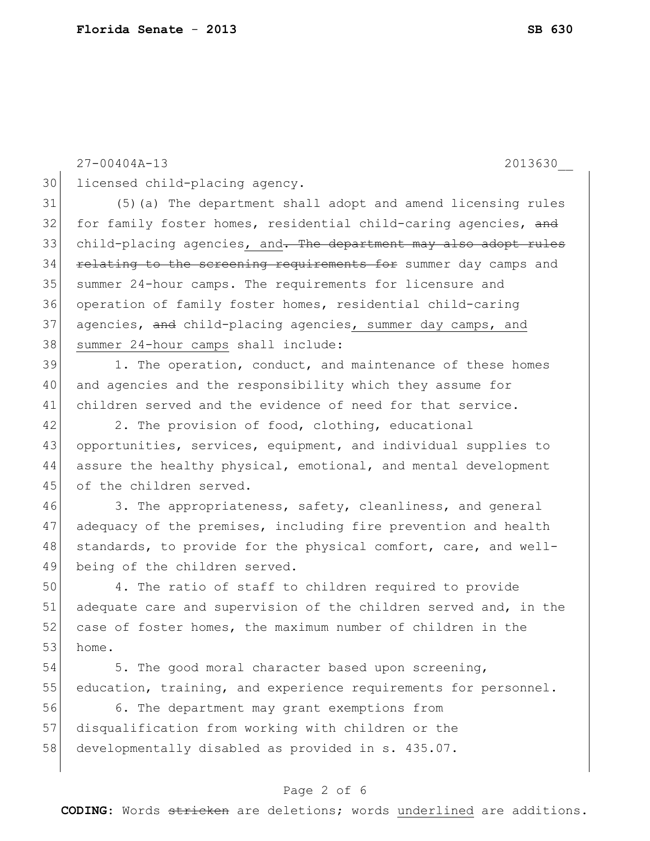27-00404A-13 2013630\_\_

30 licensed child-placing agency.

31 (5)(a) The department shall adopt and amend licensing rules 32 for family foster homes, residential child-caring agencies, and 33 child-placing agencies, and. The department may also adopt rules 34 relating to the screening requirements for summer day camps and 35 summer 24-hour camps. The requirements for licensure and 36 operation of family foster homes, residential child-caring 37 agencies, and child-placing agencies, summer day camps, and 38 summer 24-hour camps shall include:

39 1. The operation, conduct, and maintenance of these homes 40 and agencies and the responsibility which they assume for 41 children served and the evidence of need for that service.

42 2. The provision of food, clothing, educational 43 opportunities, services, equipment, and individual supplies to 44 assure the healthy physical, emotional, and mental development 45 of the children served.

46 3. The appropriateness, safety, cleanliness, and general 47 adequacy of the premises, including fire prevention and health 48 standards, to provide for the physical comfort, care, and well-49 being of the children served.

50 4. The ratio of staff to children required to provide 51 adequate care and supervision of the children served and, in the 52 case of foster homes, the maximum number of children in the 53 home.

54 5. The good moral character based upon screening, 55 education, training, and experience requirements for personnel.

56 6. The department may grant exemptions from 57 disqualification from working with children or the 58 developmentally disabled as provided in s. 435.07.

## Page 2 of 6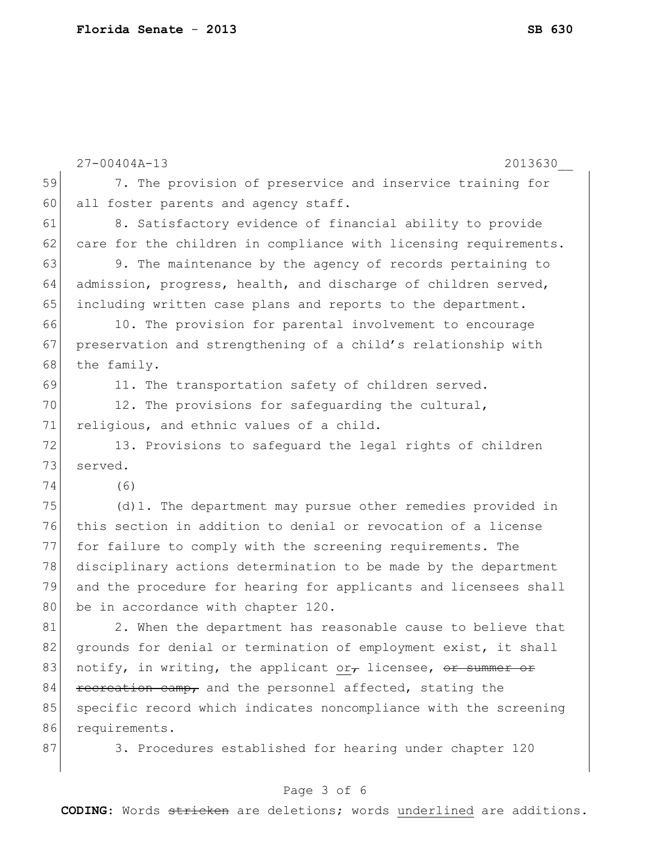| $27 - 00404A - 13$<br>59<br>7. The provision of preservice and inservice training for<br>60<br>all foster parents and agency staff.<br>61<br>8. Satisfactory evidence of financial ability to provide<br>62<br>care for the children in compliance with licensing requirements.<br>63<br>9. The maintenance by the agency of records pertaining to<br>64<br>admission, progress, health, and discharge of children served,<br>65<br>including written case plans and reports to the department.<br>66<br>10. The provision for parental involvement to encourage<br>67<br>preservation and strengthening of a child's relationship with<br>the family.<br>68<br>69<br>11. The transportation safety of children served.<br>70<br>12. The provisions for safequarding the cultural,<br>71<br>religious, and ethnic values of a child.<br>72<br>13. Provisions to safeguard the legal rights of children<br>73<br>served.<br>74<br>(6)<br>75<br>(d) 1. The department may pursue other remedies provided in<br>76<br>this section in addition to denial or revocation of a license<br>77<br>for failure to comply with the screening requirements. The<br>78<br>disciplinary actions determination to be made by the department<br>79<br>and the procedure for hearing for applicants and licensees shall<br>80<br>be in accordance with chapter 120.<br>81<br>2. When the department has reasonable cause to believe that<br>82<br>grounds for denial or termination of employment exist, it shall | 2013630 |
|---------------------------------------------------------------------------------------------------------------------------------------------------------------------------------------------------------------------------------------------------------------------------------------------------------------------------------------------------------------------------------------------------------------------------------------------------------------------------------------------------------------------------------------------------------------------------------------------------------------------------------------------------------------------------------------------------------------------------------------------------------------------------------------------------------------------------------------------------------------------------------------------------------------------------------------------------------------------------------------------------------------------------------------------------------------------------------------------------------------------------------------------------------------------------------------------------------------------------------------------------------------------------------------------------------------------------------------------------------------------------------------------------------------------------------------------------------------------------------------------------|---------|
|                                                                                                                                                                                                                                                                                                                                                                                                                                                                                                                                                                                                                                                                                                                                                                                                                                                                                                                                                                                                                                                                                                                                                                                                                                                                                                                                                                                                                                                                                                   |         |
|                                                                                                                                                                                                                                                                                                                                                                                                                                                                                                                                                                                                                                                                                                                                                                                                                                                                                                                                                                                                                                                                                                                                                                                                                                                                                                                                                                                                                                                                                                   |         |
|                                                                                                                                                                                                                                                                                                                                                                                                                                                                                                                                                                                                                                                                                                                                                                                                                                                                                                                                                                                                                                                                                                                                                                                                                                                                                                                                                                                                                                                                                                   |         |
|                                                                                                                                                                                                                                                                                                                                                                                                                                                                                                                                                                                                                                                                                                                                                                                                                                                                                                                                                                                                                                                                                                                                                                                                                                                                                                                                                                                                                                                                                                   |         |
|                                                                                                                                                                                                                                                                                                                                                                                                                                                                                                                                                                                                                                                                                                                                                                                                                                                                                                                                                                                                                                                                                                                                                                                                                                                                                                                                                                                                                                                                                                   |         |
|                                                                                                                                                                                                                                                                                                                                                                                                                                                                                                                                                                                                                                                                                                                                                                                                                                                                                                                                                                                                                                                                                                                                                                                                                                                                                                                                                                                                                                                                                                   |         |
|                                                                                                                                                                                                                                                                                                                                                                                                                                                                                                                                                                                                                                                                                                                                                                                                                                                                                                                                                                                                                                                                                                                                                                                                                                                                                                                                                                                                                                                                                                   |         |
|                                                                                                                                                                                                                                                                                                                                                                                                                                                                                                                                                                                                                                                                                                                                                                                                                                                                                                                                                                                                                                                                                                                                                                                                                                                                                                                                                                                                                                                                                                   |         |
|                                                                                                                                                                                                                                                                                                                                                                                                                                                                                                                                                                                                                                                                                                                                                                                                                                                                                                                                                                                                                                                                                                                                                                                                                                                                                                                                                                                                                                                                                                   |         |
|                                                                                                                                                                                                                                                                                                                                                                                                                                                                                                                                                                                                                                                                                                                                                                                                                                                                                                                                                                                                                                                                                                                                                                                                                                                                                                                                                                                                                                                                                                   |         |
|                                                                                                                                                                                                                                                                                                                                                                                                                                                                                                                                                                                                                                                                                                                                                                                                                                                                                                                                                                                                                                                                                                                                                                                                                                                                                                                                                                                                                                                                                                   |         |
|                                                                                                                                                                                                                                                                                                                                                                                                                                                                                                                                                                                                                                                                                                                                                                                                                                                                                                                                                                                                                                                                                                                                                                                                                                                                                                                                                                                                                                                                                                   |         |
|                                                                                                                                                                                                                                                                                                                                                                                                                                                                                                                                                                                                                                                                                                                                                                                                                                                                                                                                                                                                                                                                                                                                                                                                                                                                                                                                                                                                                                                                                                   |         |
|                                                                                                                                                                                                                                                                                                                                                                                                                                                                                                                                                                                                                                                                                                                                                                                                                                                                                                                                                                                                                                                                                                                                                                                                                                                                                                                                                                                                                                                                                                   |         |
|                                                                                                                                                                                                                                                                                                                                                                                                                                                                                                                                                                                                                                                                                                                                                                                                                                                                                                                                                                                                                                                                                                                                                                                                                                                                                                                                                                                                                                                                                                   |         |
|                                                                                                                                                                                                                                                                                                                                                                                                                                                                                                                                                                                                                                                                                                                                                                                                                                                                                                                                                                                                                                                                                                                                                                                                                                                                                                                                                                                                                                                                                                   |         |
|                                                                                                                                                                                                                                                                                                                                                                                                                                                                                                                                                                                                                                                                                                                                                                                                                                                                                                                                                                                                                                                                                                                                                                                                                                                                                                                                                                                                                                                                                                   |         |
|                                                                                                                                                                                                                                                                                                                                                                                                                                                                                                                                                                                                                                                                                                                                                                                                                                                                                                                                                                                                                                                                                                                                                                                                                                                                                                                                                                                                                                                                                                   |         |
|                                                                                                                                                                                                                                                                                                                                                                                                                                                                                                                                                                                                                                                                                                                                                                                                                                                                                                                                                                                                                                                                                                                                                                                                                                                                                                                                                                                                                                                                                                   |         |
|                                                                                                                                                                                                                                                                                                                                                                                                                                                                                                                                                                                                                                                                                                                                                                                                                                                                                                                                                                                                                                                                                                                                                                                                                                                                                                                                                                                                                                                                                                   |         |
|                                                                                                                                                                                                                                                                                                                                                                                                                                                                                                                                                                                                                                                                                                                                                                                                                                                                                                                                                                                                                                                                                                                                                                                                                                                                                                                                                                                                                                                                                                   |         |
|                                                                                                                                                                                                                                                                                                                                                                                                                                                                                                                                                                                                                                                                                                                                                                                                                                                                                                                                                                                                                                                                                                                                                                                                                                                                                                                                                                                                                                                                                                   |         |
|                                                                                                                                                                                                                                                                                                                                                                                                                                                                                                                                                                                                                                                                                                                                                                                                                                                                                                                                                                                                                                                                                                                                                                                                                                                                                                                                                                                                                                                                                                   |         |
|                                                                                                                                                                                                                                                                                                                                                                                                                                                                                                                                                                                                                                                                                                                                                                                                                                                                                                                                                                                                                                                                                                                                                                                                                                                                                                                                                                                                                                                                                                   |         |
| notify, in writing, the applicant or, licensee, or summer or<br>83                                                                                                                                                                                                                                                                                                                                                                                                                                                                                                                                                                                                                                                                                                                                                                                                                                                                                                                                                                                                                                                                                                                                                                                                                                                                                                                                                                                                                                |         |
| 84<br>recreation camp, and the personnel affected, stating the                                                                                                                                                                                                                                                                                                                                                                                                                                                                                                                                                                                                                                                                                                                                                                                                                                                                                                                                                                                                                                                                                                                                                                                                                                                                                                                                                                                                                                    |         |
| 85<br>specific record which indicates noncompliance with the screening                                                                                                                                                                                                                                                                                                                                                                                                                                                                                                                                                                                                                                                                                                                                                                                                                                                                                                                                                                                                                                                                                                                                                                                                                                                                                                                                                                                                                            |         |
| 86<br>requirements.                                                                                                                                                                                                                                                                                                                                                                                                                                                                                                                                                                                                                                                                                                                                                                                                                                                                                                                                                                                                                                                                                                                                                                                                                                                                                                                                                                                                                                                                               |         |
| 87<br>3. Procedures established for hearing under chapter 120                                                                                                                                                                                                                                                                                                                                                                                                                                                                                                                                                                                                                                                                                                                                                                                                                                                                                                                                                                                                                                                                                                                                                                                                                                                                                                                                                                                                                                     |         |
|                                                                                                                                                                                                                                                                                                                                                                                                                                                                                                                                                                                                                                                                                                                                                                                                                                                                                                                                                                                                                                                                                                                                                                                                                                                                                                                                                                                                                                                                                                   |         |

# Page 3 of 6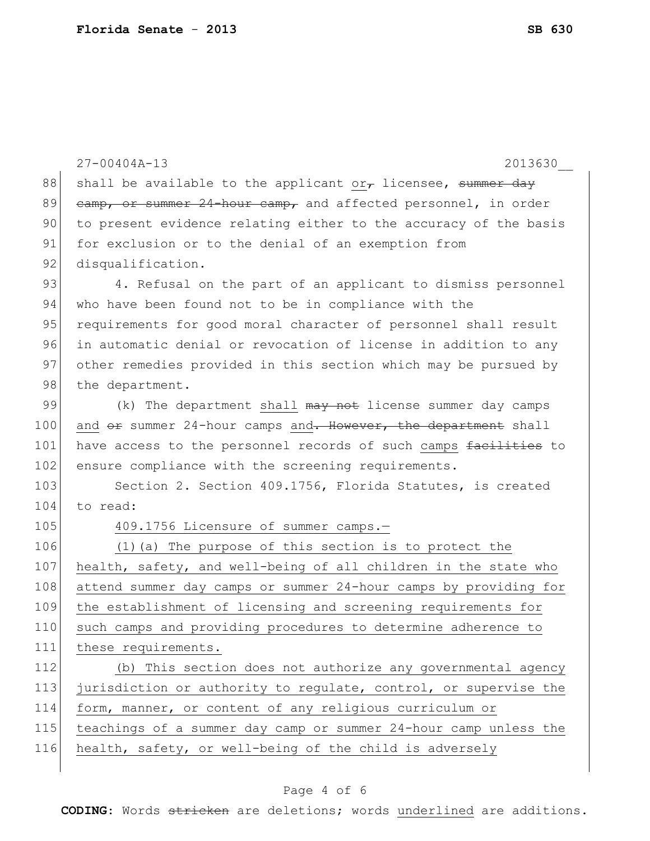|     | $27 - 00404A - 13$<br>2013630                                      |
|-----|--------------------------------------------------------------------|
| 88  | shall be available to the applicant or $\tau$ licensee, summer day |
| 89  | camp, or summer 24-hour camp, and affected personnel, in order     |
| 90  | to present evidence relating either to the accuracy of the basis   |
| 91  | for exclusion or to the denial of an exemption from                |
| 92  | disqualification.                                                  |
| 93  | 4. Refusal on the part of an applicant to dismiss personnel        |
| 94  | who have been found not to be in compliance with the               |
| 95  | requirements for good moral character of personnel shall result    |
| 96  | in automatic denial or revocation of license in addition to any    |
| 97  | other remedies provided in this section which may be pursued by    |
| 98  | the department.                                                    |
| 99  | (k) The department shall may not license summer day camps          |
| 100 | and or summer 24-hour camps and. However, the department shall     |
| 101 | have access to the personnel records of such camps facilities to   |
| 102 | ensure compliance with the screening requirements.                 |
| 103 | Section 2. Section 409.1756, Florida Statutes, is created          |
| 104 | to read:                                                           |
| 105 | 409.1756 Licensure of summer camps.-                               |
| 106 | (1) (a) The purpose of this section is to protect the              |
| 107 | health, safety, and well-being of all children in the state who    |
| 108 | attend summer day camps or summer 24-hour camps by providing for   |
| 109 | the establishment of licensing and screening requirements for      |
| 110 | such camps and providing procedures to determine adherence to      |
| 111 | these requirements.                                                |
| 112 | (b) This section does not authorize any governmental agency        |
| 113 | jurisdiction or authority to regulate, control, or supervise the   |
| 114 | form, manner, or content of any religious curriculum or            |
| 115 | teachings of a summer day camp or summer 24-hour camp unless the   |
| 116 | health, safety, or well-being of the child is adversely            |
|     |                                                                    |

# Page 4 of 6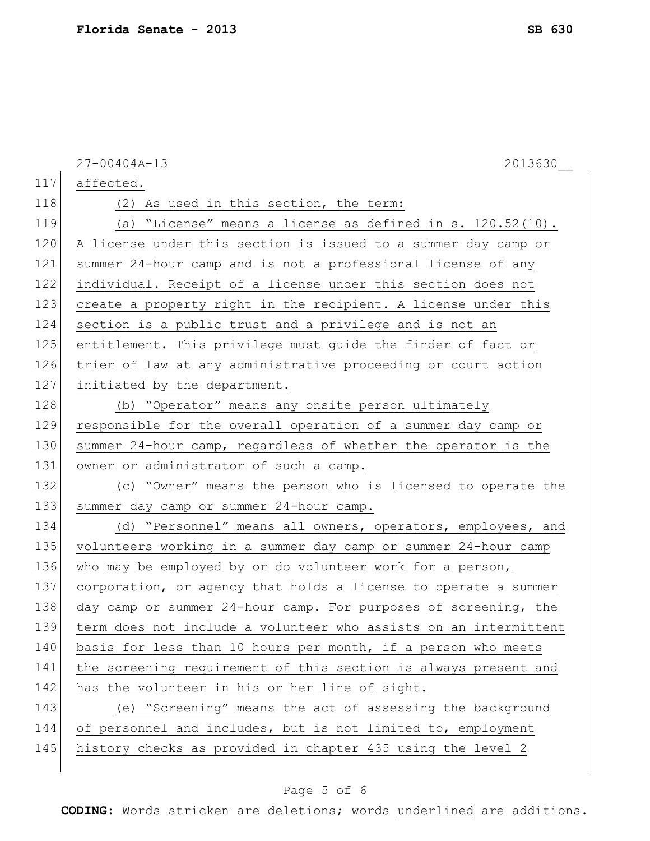|     | $27 - 00404A - 13$<br>2013630                                    |
|-----|------------------------------------------------------------------|
| 117 | affected.                                                        |
| 118 | (2) As used in this section, the term:                           |
| 119 | (a) "License" means a license as defined in s. 120.52(10).       |
| 120 | A license under this section is issued to a summer day camp or   |
| 121 | summer 24-hour camp and is not a professional license of any     |
| 122 | individual. Receipt of a license under this section does not     |
| 123 | create a property right in the recipient. A license under this   |
| 124 | section is a public trust and a privilege and is not an          |
| 125 | entitlement. This privilege must guide the finder of fact or     |
| 126 | trier of law at any administrative proceeding or court action    |
| 127 | initiated by the department.                                     |
| 128 | (b) "Operator" means any onsite person ultimately                |
| 129 | responsible for the overall operation of a summer day camp or    |
| 130 | summer 24-hour camp, regardless of whether the operator is the   |
| 131 | owner or administrator of such a camp.                           |
| 132 | (c) "Owner" means the person who is licensed to operate the      |
| 133 | summer day camp or summer 24-hour camp.                          |
| 134 | (d) "Personnel" means all owners, operators, employees, and      |
| 135 | volunteers working in a summer day camp or summer 24-hour camp   |
| 136 | who may be employed by or do volunteer work for a person,        |
| 137 | corporation, or agency that holds a license to operate a summer  |
| 138 | day camp or summer 24-hour camp. For purposes of screening, the  |
| 139 | term does not include a volunteer who assists on an intermittent |
| 140 | basis for less than 10 hours per month, if a person who meets    |
| 141 | the screening requirement of this section is always present and  |
| 142 | has the volunteer in his or her line of sight.                   |
| 143 | (e) "Screening" means the act of assessing the background        |
| 144 | of personnel and includes, but is not limited to, employment     |
| 145 | history checks as provided in chapter 435 using the level 2      |
|     |                                                                  |

# Page 5 of 6